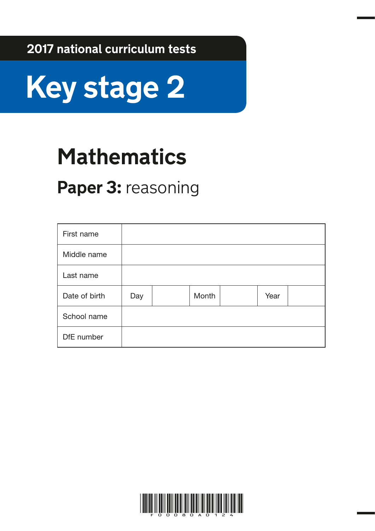**2017 national curriculum tests**



## **Mathematics**

### Paper 3: reasoning

| First name    |     |       |      |  |
|---------------|-----|-------|------|--|
| Middle name   |     |       |      |  |
| Last name     |     |       |      |  |
| Date of birth | Day | Month | Year |  |
| School name   |     |       |      |  |
| DfE number    |     |       |      |  |

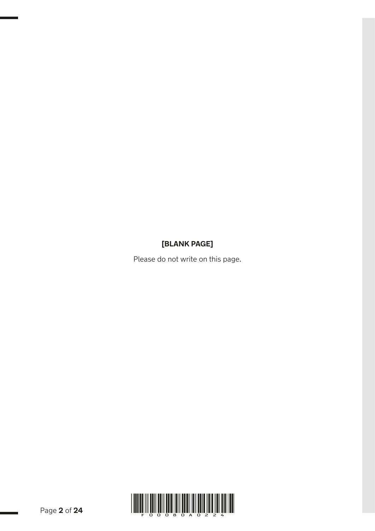#### **[BLANK PAGE]**

Please do not write on this page.

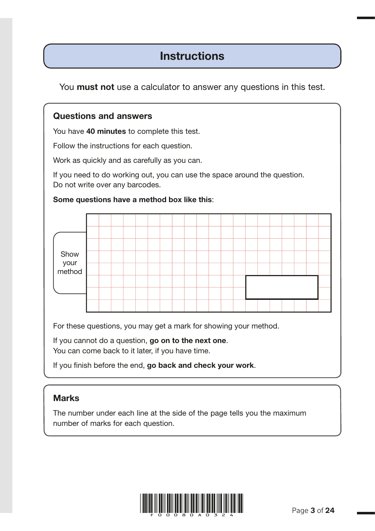### **Instructions**

You **must not** use a calculator to answer any questions in this test.

#### Questions and answers

You have 40 minutes to complete this test.

Follow the instructions for each question.

Work as quickly and as carefully as you can.

If you need to do working out, you can use the space around the question. Do not write over any barcodes.

#### Some questions have a method box like this:



For these questions, you may get a mark for showing your method.

If you cannot do a question, go on to the next one. You can come back to it later, if you have time.

If you finish before the end, go back and check your work.

#### Marks

The number under each line at the side of the page tells you the maximum number of marks for each question.

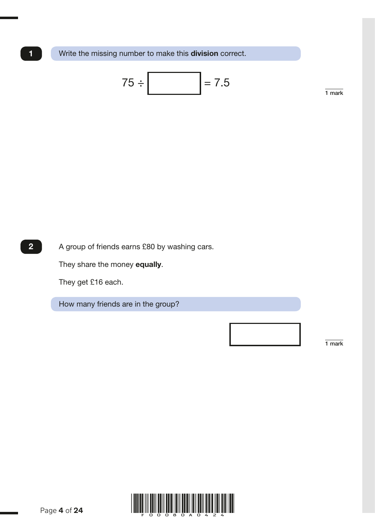1 Write the missing number to make this **division** correct.

$$
75 \div \boxed{\qquad} = 7.5
$$

2 A group of friends earns £80 by washing cars.

They share the money equally.

They get £16 each.

How many friends are in the group?

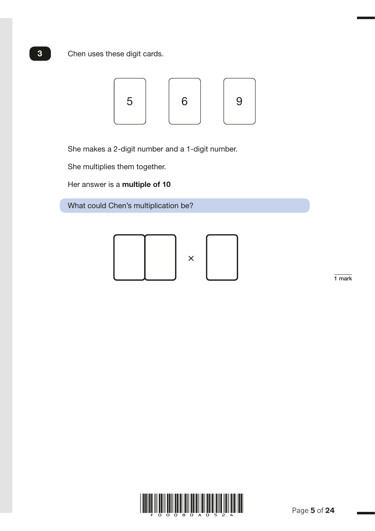Chen uses these digit cards.



4C8 multest M005655 – 26 October 2016 12:17 PM – Version 5

She makes a 2-digit number and a 1-digit number.

She multiplies them together.

Her answer is a multiple of 10

What could Chen's multiplication be?



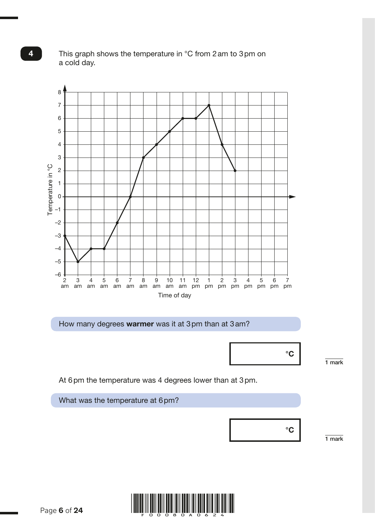

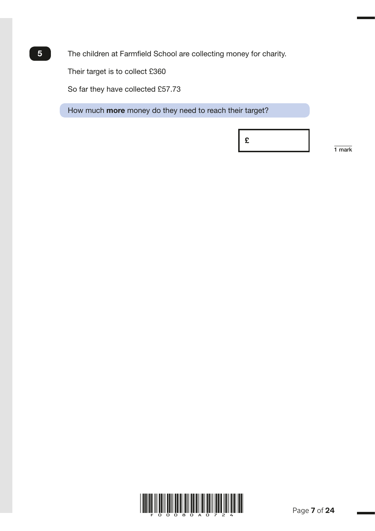The children at Farmfield School are collecting money for charity.

Their target is to collect £360

5

So far they have collected £57.73

How much **more** money do they need to reach their target?

£

1 mark

M005704 – 26 October 2016 12:23 PM – Version 4

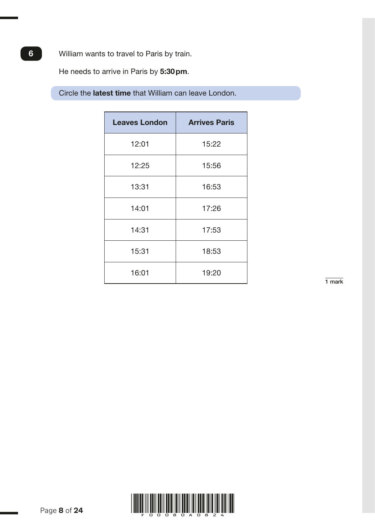6 William wants to travel to Paris by train.

He needs to arrive in Paris by 5:30 pm.

Circle the latest time that William can leave London.

| <b>Leaves London</b> | <b>Arrives Paris</b> |  |  |
|----------------------|----------------------|--|--|
| 12:01                | 15:22                |  |  |
| 12:25                | 15:56                |  |  |
| 13:31                | 16:53                |  |  |
| 14:01                | 17:26                |  |  |
| 14:31                | 17:53                |  |  |
| 15:31                | 18:53                |  |  |
| 16:01                | 19:20                |  |  |

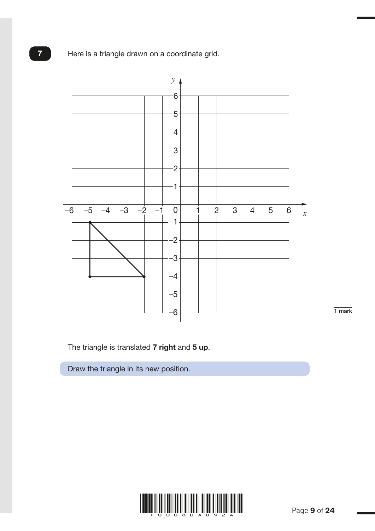Here is a triangle drawn on a coordinate grid.



1 mark

M004793 – 9 January 2017 11:49 AM – Version 3

The triangle is translated 7 right and 5 up.

Draw the triangle in its new position.



Page **9** of **24** 

7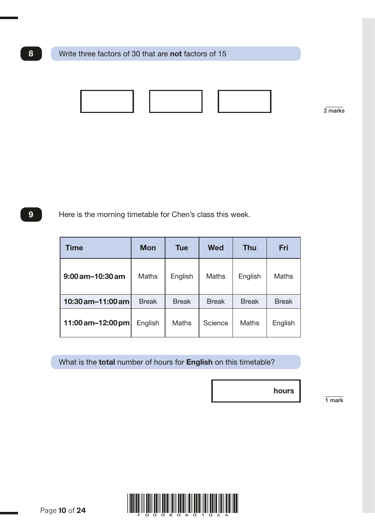

2 marks

9 Here is the morning timetable for Chen's class this week.

| Time                  | <b>Mon</b>   | <b>Tue</b>   | <b>Wed</b>   | <b>Thu</b>   | Fri          |
|-----------------------|--------------|--------------|--------------|--------------|--------------|
| $9:00$ am $-10:30$ am | <b>Maths</b> | English      | <b>Maths</b> | English      | Maths        |
| 10:30 am-11:00 am     | <b>Break</b> | <b>Break</b> | <b>Break</b> | <b>Break</b> | <b>Break</b> |
| 11:00 am-12:00 pm     | English      | Maths        | Science      | Maths        | English      |

What is the **total** number of hours for **English** on this timetable?

1 mark

hours



Page **10** of **24**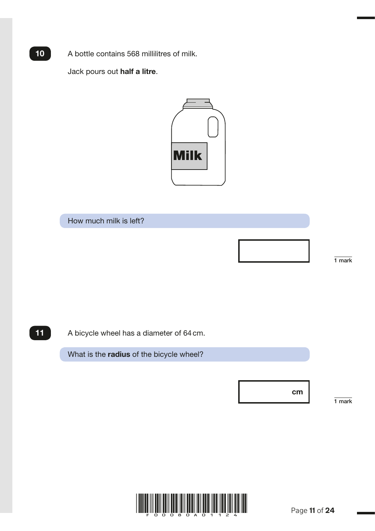A bottle contains 568 millilitres of milk.

Jack pours out half a litre.



How much milk is left?

1 mark

M004751 – 9 January 2017 12:02 PM – Version 4

11

 $10<sup>7</sup>$ 

A bicycle wheel has a diameter of 64 cm.

What is the radius of the bicycle wheel?

cm

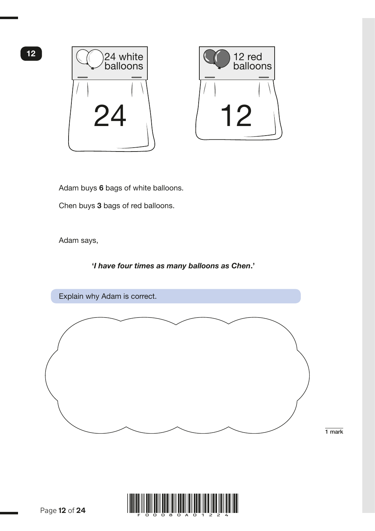



Adam buys 6 bags of white balloons.

Chen buys 3 bags of red balloons.

Adam says,

#### '*I have four times as many balloons as Chen*.'



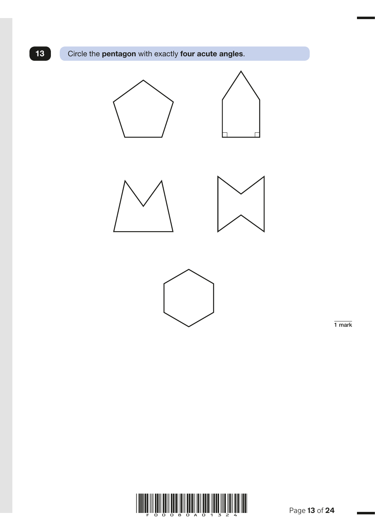13 Circle the pentagon with exactly four acute angles.



6G3a 4G4 Drawing shapes M005850 – 26 October 2016 12:43 PM – Version 4





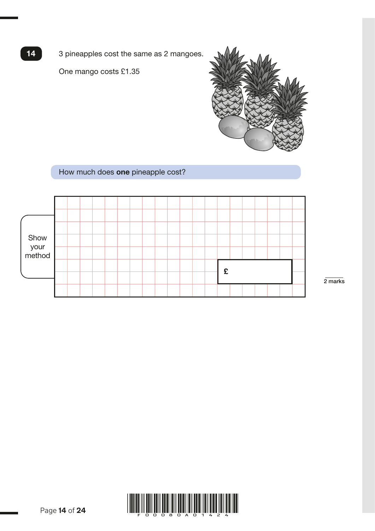3 pineapples cost the same as 2 mangoes.

One mango costs £1.35

14



#### How much does one pineapple cost?



2 marks

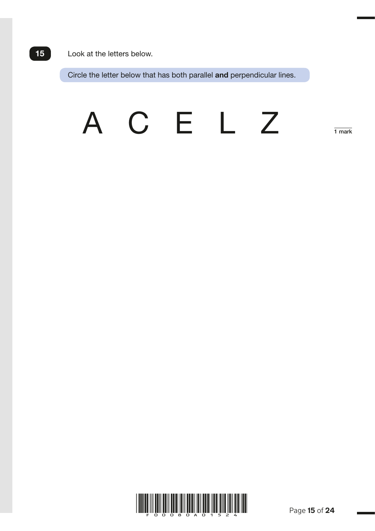#### Look at the letters below.

Circle the letter below that has both parallel and perpendicular lines.

# A C E L Z

For a set of the set of the set of the set of the set of the set of the set of the set of the set of the set of

1 mark

M004773 – 31 October 2016 9:59 AM – Version 3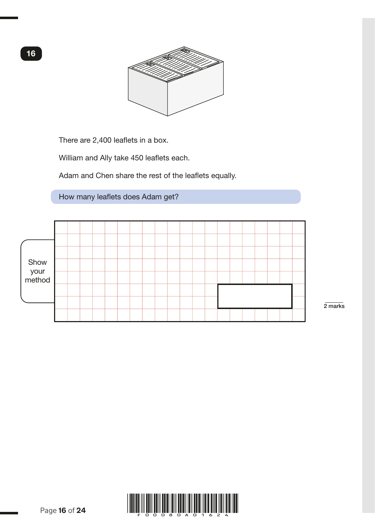

There are 2,400 leaflets in a box.

William and Ally take 450 leaflets each.

Adam and Chen share the rest of the leaflets equally.

How many leaflets does Adam get?



2 marks

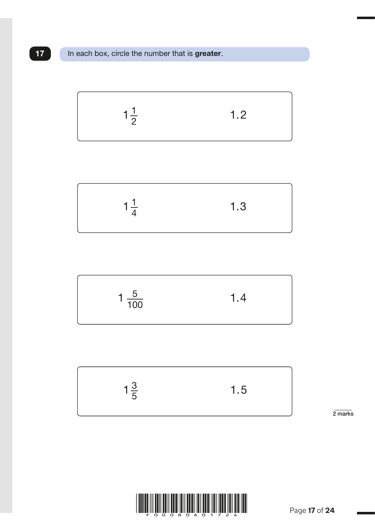





$$
1\frac{3}{5} \hspace{1cm} 1.5
$$

2 marks



M005675 – 10 November 2016 10:07 AM – Version 4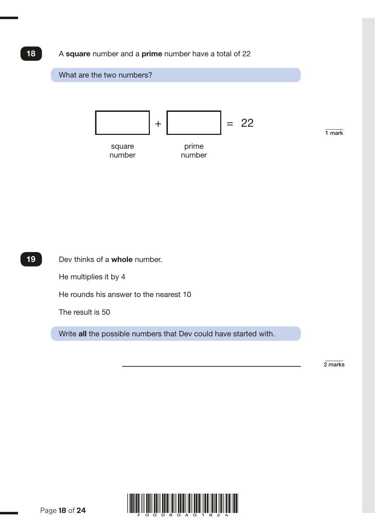#### A square number and a prime number have a total of 22

18



 Dev thinks of a whole number. He multiplies it by 4 He rounds his answer to the nearest 10 The result is 50 Write all the possible numbers that Dev could have started with. 19

2 marks

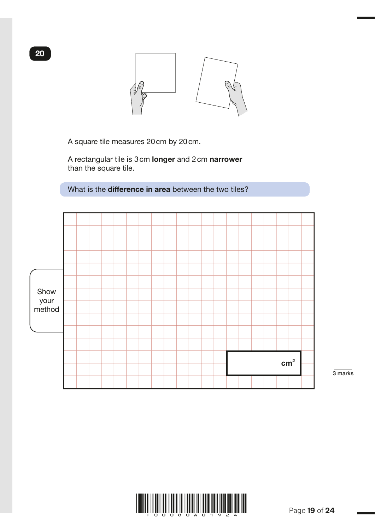

A square tile measures 20 cm by 20 cm.

 A rectangular tile is 3 cm longer and 2 cm narrower than the square tile.

What is the **difference in area** between the two tiles?



3 marks



M005705 – 9 January 2017 1:03 PM – Version 4

20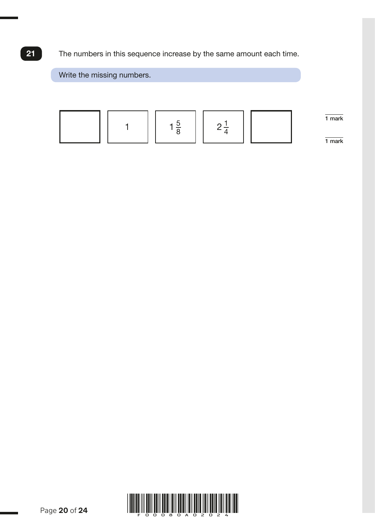The numbers in this sequence increase by the same amount each time.



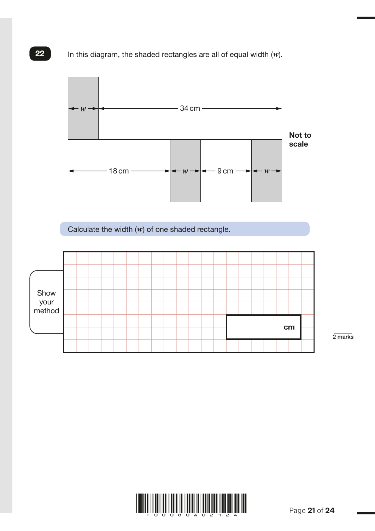In this diagram, the shaded rectangles are all of equal width (*w*).



Calculate the width (*w*) of one shaded rectangle.



2 marks

M003210 – 22 November 2016 12:35 PM – Version 5



22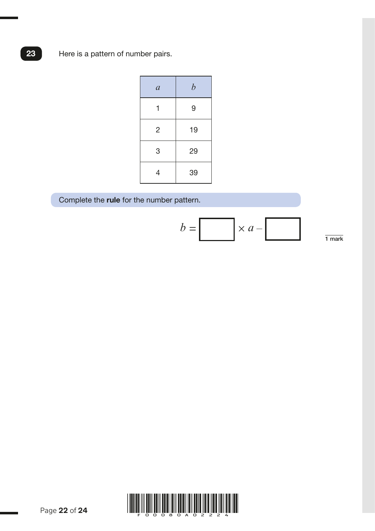23 Here is a pattern of number pairs.

| $\mathfrak{a}$ | $\boldsymbol{b}$ |
|----------------|------------------|
| 1              | 9                |
| $\overline{2}$ | 19               |
| 3              | 29               |
| 4              | 39               |

Complete the rule for the number pattern.

*b = × a –* 1 mark

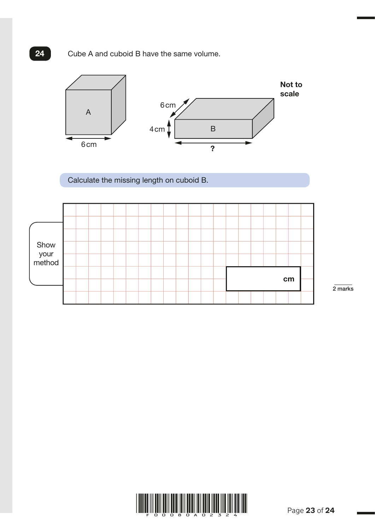#### 24 Cube A and cuboid B have the same volume.



6M8b, 6R1 Cuboid match M005977 – 21 November 2016 9:52 AM – Version 4

Calculate the missing length on cuboid B.



2 marks